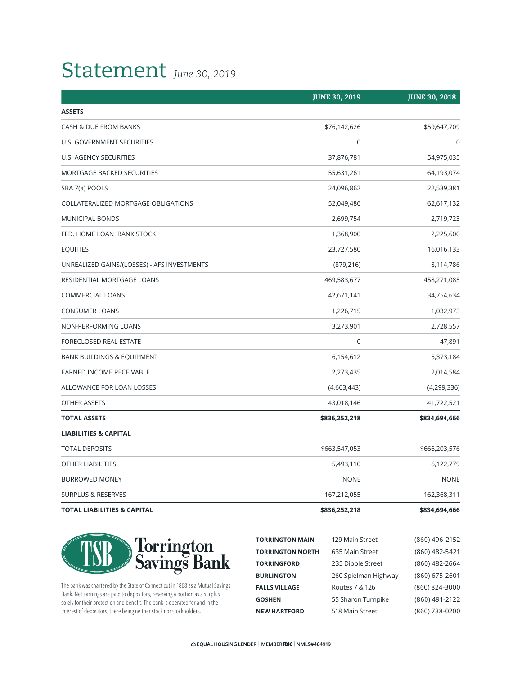## Statement *June 30, 2019*

|                                             | <b>JUNE 30, 2019</b> | <b>JUNE 30, 2018</b> |
|---------------------------------------------|----------------------|----------------------|
| <b>ASSETS</b>                               |                      |                      |
| CASH & DUE FROM BANKS                       | \$76,142,626         | \$59,647,709         |
| U.S. GOVERNMENT SECURITIES                  | $\pmb{0}$            | $\mathbf 0$          |
| U.S. AGENCY SECURITIES                      | 37,876,781           | 54,975,035           |
| MORTGAGE BACKED SECURITIES                  | 55,631,261           | 64,193,074           |
| SBA 7(a) POOLS                              | 24,096,862           | 22,539,381           |
| COLLATERALIZED MORTGAGE OBLIGATIONS         | 52,049,486           | 62,617,132           |
| <b>MUNICIPAL BONDS</b>                      | 2,699,754            | 2,719,723            |
| FED. HOME LOAN BANK STOCK                   | 1,368,900            | 2,225,600            |
| <b>EQUITIES</b>                             | 23,727,580           | 16,016,133           |
| UNREALIZED GAINS/(LOSSES) - AFS INVESTMENTS | (879, 216)           | 8,114,786            |
| RESIDENTIAL MORTGAGE LOANS                  | 469,583,677          | 458,271,085          |
| <b>COMMERCIAL LOANS</b>                     | 42,671,141           | 34,754,634           |
| <b>CONSUMER LOANS</b>                       | 1,226,715            | 1,032,973            |
| NON-PERFORMING LOANS                        | 3,273,901            | 2,728,557            |
| FORECLOSED REAL ESTATE                      | $\mathbf 0$          | 47,891               |
| <b>BANK BUILDINGS &amp; EQUIPMENT</b>       | 6,154,612            | 5,373,184            |
| EARNED INCOME RECEIVABLE                    | 2,273,435            | 2,014,584            |
| ALLOWANCE FOR LOAN LOSSES                   | (4,663,443)          | (4,299,336)          |
| OTHER ASSETS                                | 43,018,146           | 41,722,521           |
| <b>TOTAL ASSETS</b>                         | \$836,252,218        | \$834,694,666        |
| <b>LIABILITIES &amp; CAPITAL</b>            |                      |                      |
| <b>TOTAL DEPOSITS</b>                       | \$663,547,053        | \$666,203,576        |
| OTHER LIABILITIES                           | 5,493,110            | 6,122,779            |
| BORROWED MONEY                              | <b>NONE</b>          | <b>NONE</b>          |
| <b>SURPLUS &amp; RESERVES</b>               | 167,212,055          | 162,368,311          |
| <b>TOTAL LIABILITIES &amp; CAPITAL</b>      | \$836,252,218        | \$834,694,666        |



The bank was chartered by the State of Connecticut in 1868 as a Mutual Savings Bank. Net earnings are paid to depositors, reserving a portion as a surplus solely for their protection and benefit. The bank is operated for and in the interest of depositors, there being neither stock nor stockholders.

| <b>TORRINGTON MAIN</b>  | 129 Main Street      | (860) 496-2152 |
|-------------------------|----------------------|----------------|
| <b>TORRINGTON NORTH</b> | 635 Main Street      | (860) 482-5421 |
| <b>TORRINGFORD</b>      | 235 Dibble Street    | (860) 482-2664 |
| <b>BURLINGTON</b>       | 260 Spielman Highway | (860) 675-2601 |
| <b>FALLS VILLAGE</b>    | Routes 7 & 126       | (860) 824-3000 |
| <b>GOSHEN</b>           | 55 Sharon Turnpike   | (860) 491-2122 |
| <b>NEW HARTFORD</b>     | 518 Main Street      | (860) 738-0200 |